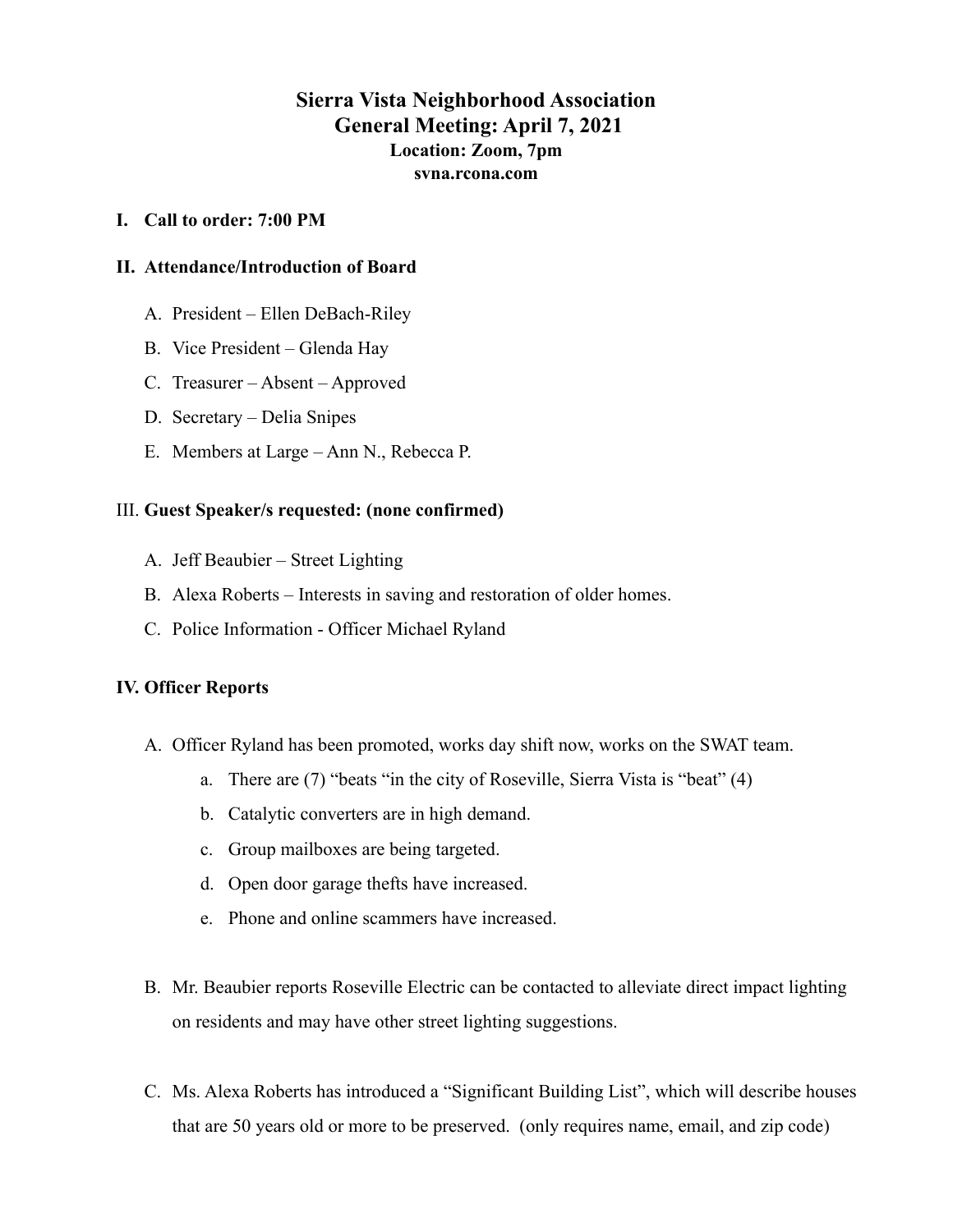# **Sierra Vista Neighborhood Association General Meeting: April 7, 2021 Location: Zoom, 7pm svna.rcona.com**

### **I. Call to order: 7:00 PM**

### **II. Attendance/Introduction of Board**

- A. President Ellen DeBach-Riley
- B. Vice President Glenda Hay
- C. Treasurer Absent Approved
- D. Secretary Delia Snipes
- E. Members at Large Ann N., Rebecca P.

#### III. **Guest Speaker/s requested: (none confirmed)**

- A. Jeff Beaubier Street Lighting
- B. Alexa Roberts Interests in saving and restoration of older homes.
- C. Police Information Officer Michael Ryland

### **IV. Officer Reports**

- A. Officer Ryland has been promoted, works day shift now, works on the SWAT team.
	- a. There are (7) "beats "in the city of Roseville, Sierra Vista is "beat" (4)
	- b. Catalytic converters are in high demand.
	- c. Group mailboxes are being targeted.
	- d. Open door garage thefts have increased.
	- e. Phone and online scammers have increased.
- B. Mr. Beaubier reports Roseville Electric can be contacted to alleviate direct impact lighting on residents and may have other street lighting suggestions.
- C. Ms. Alexa Roberts has introduced a "Significant Building List", which will describe houses that are 50 years old or more to be preserved. (only requires name, email, and zip code)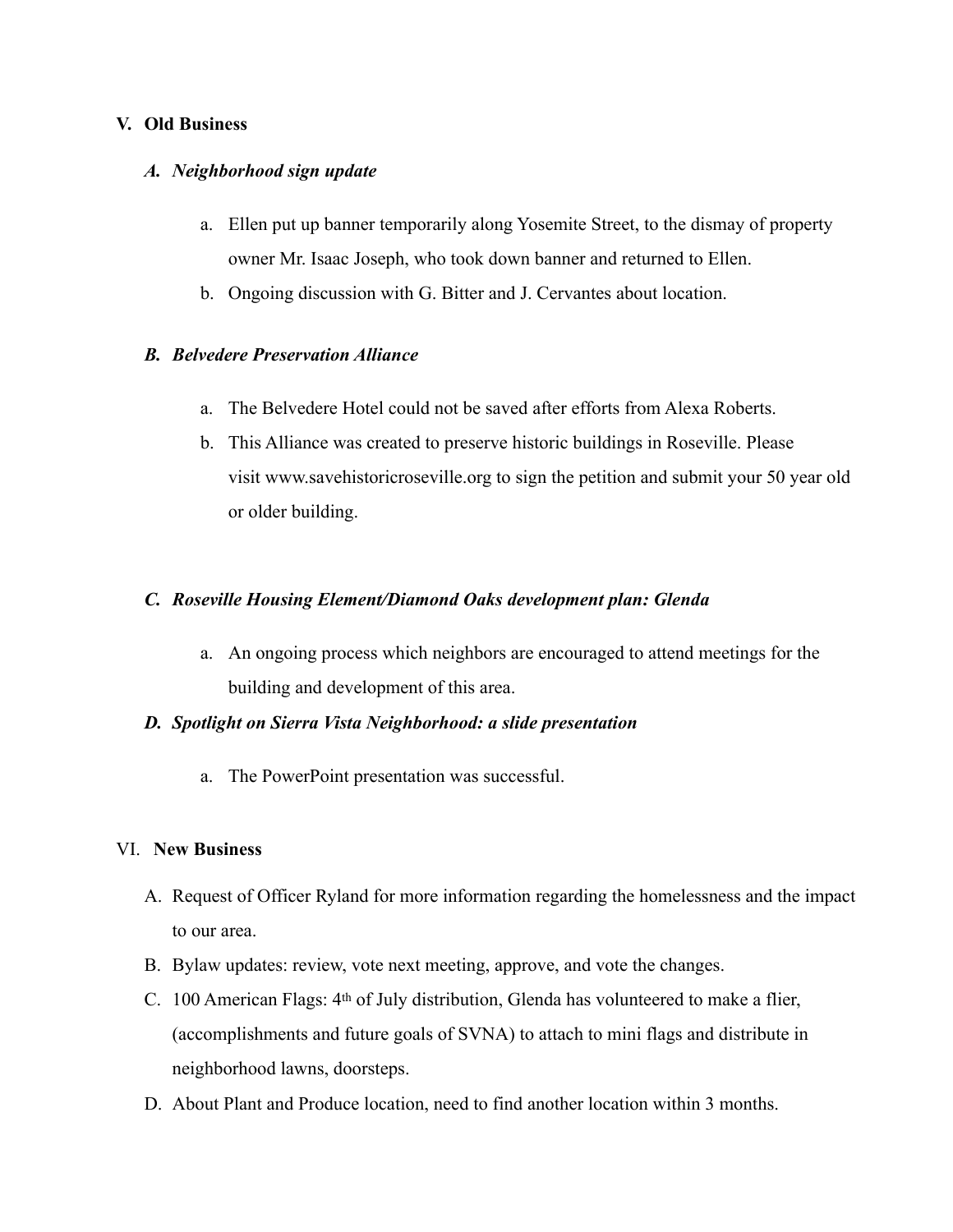## **V. Old Business**

## *A. Neighborhood sign update*

- a. Ellen put up banner temporarily along Yosemite Street, to the dismay of property owner Mr. Isaac Joseph, who took down banner and returned to Ellen.
- b. Ongoing discussion with G. Bitter and J. Cervantes about location.

## *B. Belvedere Preservation Alliance*

- a. The Belvedere Hotel could not be saved after efforts from Alexa Roberts.
- b. This Alliance was created to preserve historic buildings in Roseville. Please visit [www.savehistoricroseville.org](https://na01.safelinks.protection.outlook.com/?url=http%253A%252F%252Fwww.savehistoricroseville.org%252F&data=04%257C01%257C%257Cd0f1ca127f9c4ea5553c08d904471a11%257C84df9e7fe9f640afb435aaaaaaaaaaaa%257C1%257C0%257C637545525690295341%257CUnknown%257CTWFpbGZsb3d8eyJWIjoiMC4wLjAwMDAiLCJQIjoiV2luMzIiLCJBTiI6Ik1haWwiLCJXVCI6Mn0%253D%257C1000&sdata=nyeCDHKVxRkZi3wDKTrvtOW1IwQ3bD0o4DH26FsgdO8%253D&reserved=0) to sign the petition and submit your 50 year old or older building.

## *C. Roseville Housing Element/Diamond Oaks development plan: Glenda*

a. An ongoing process which neighbors are encouraged to attend meetings for the building and development of this area.

### *D. Spotlight on Sierra Vista Neighborhood: a slide presentation*

a. The PowerPoint presentation was successful.

### VI. **New Business**

- A. Request of Officer Ryland for more information regarding the homelessness and the impact to our area.
- B. Bylaw updates: review, vote next meeting, approve, and vote the changes.
- C. 100 American Flags: 4th of July distribution, Glenda has volunteered to make a flier, (accomplishments and future goals of SVNA) to attach to mini flags and distribute in neighborhood lawns, doorsteps.
- D. About Plant and Produce location, need to find another location within 3 months.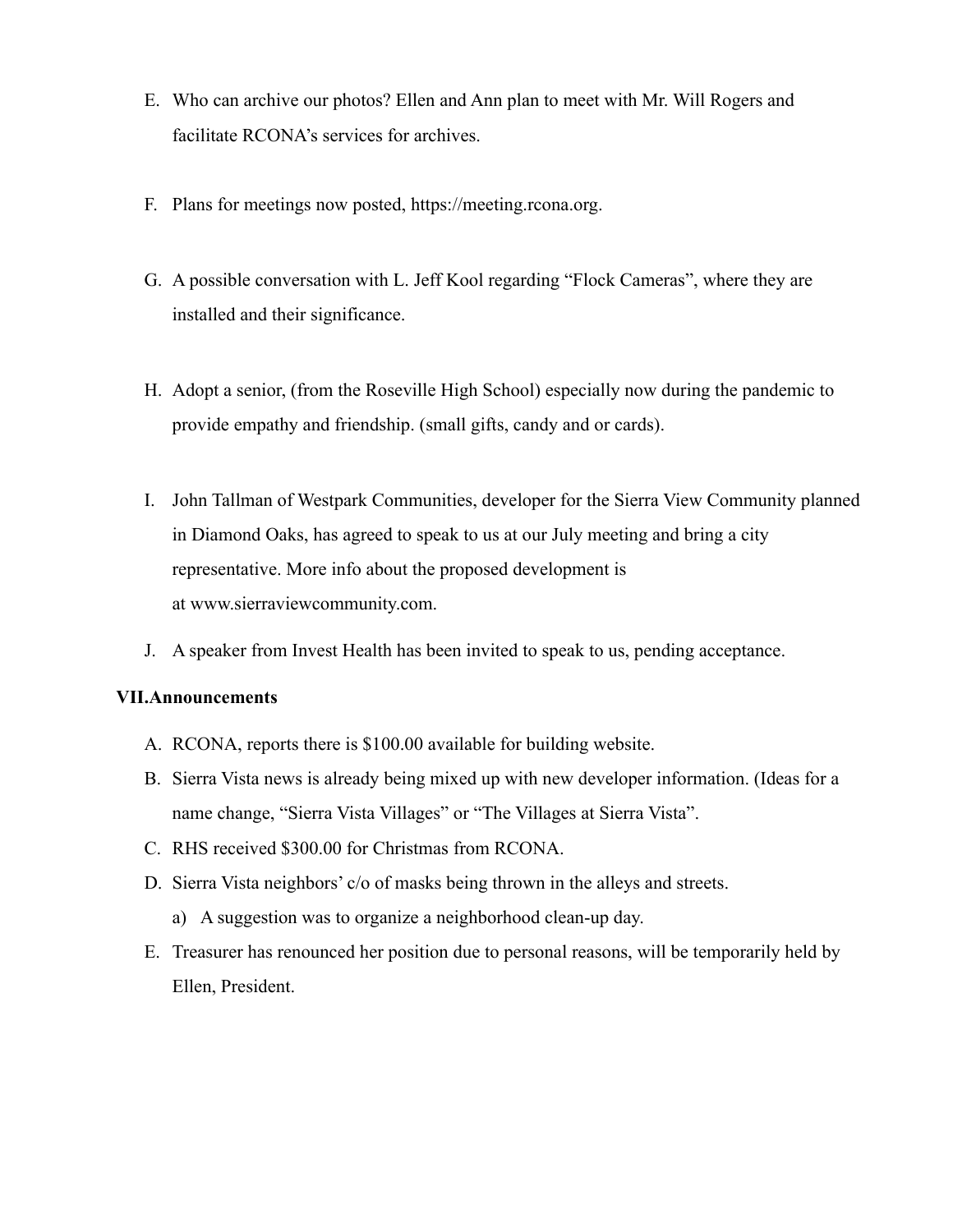- E. Who can archive our photos? Ellen and Ann plan to meet with Mr. Will Rogers and facilitate RCONA's services for archives.
- F. Plans for meetings now posted, https://meeting.rcona.org.
- G. A possible conversation with L. Jeff Kool regarding "Flock Cameras", where they are installed and their significance.
- H. Adopt a senior, (from the Roseville High School) especially now during the pandemic to provide empathy and friendship. (small gifts, candy and or cards).
- I. John Tallman of Westpark Communities, developer for the Sierra View Community planned in Diamond Oaks, has agreed to speak to us at our July meeting and bring a city representative. More info about the proposed development is at [www.sierraviewcommunity.com](https://na01.safelinks.protection.outlook.com/?url=http%253A%252F%252Fwww.sierraviewcommunity.com%252F&data=04%257C01%257C%257Cd0f1ca127f9c4ea5553c08d904471a11%257C84df9e7fe9f640afb435aaaaaaaaaaaa%257C1%257C0%257C637545525690305335%257CUnknown%257CTWFpbGZsb3d8eyJWIjoiMC4wLjAwMDAiLCJQIjoiV2luMzIiLCJBTiI6Ik1haWwiLCJXVCI6Mn0%253D%257C1000&sdata=9JF7h8LMciF3dDLwBjJY%252FAC8a7QLaovwuCrcyv2hAT0%253D&reserved=0).
- J. A speaker from Invest Health has been invited to speak to us, pending acceptance.

## **VII.Announcements**

- A. RCONA, reports there is \$100.00 available for building website.
- B. Sierra Vista news is already being mixed up with new developer information. (Ideas for a name change, "Sierra Vista Villages" or "The Villages at Sierra Vista".
- C. RHS received \$300.00 for Christmas from RCONA.
- D. Sierra Vista neighbors' c/o of masks being thrown in the alleys and streets.
	- a) A suggestion was to organize a neighborhood clean-up day.
- E. Treasurer has renounced her position due to personal reasons, will be temporarily held by Ellen, President.